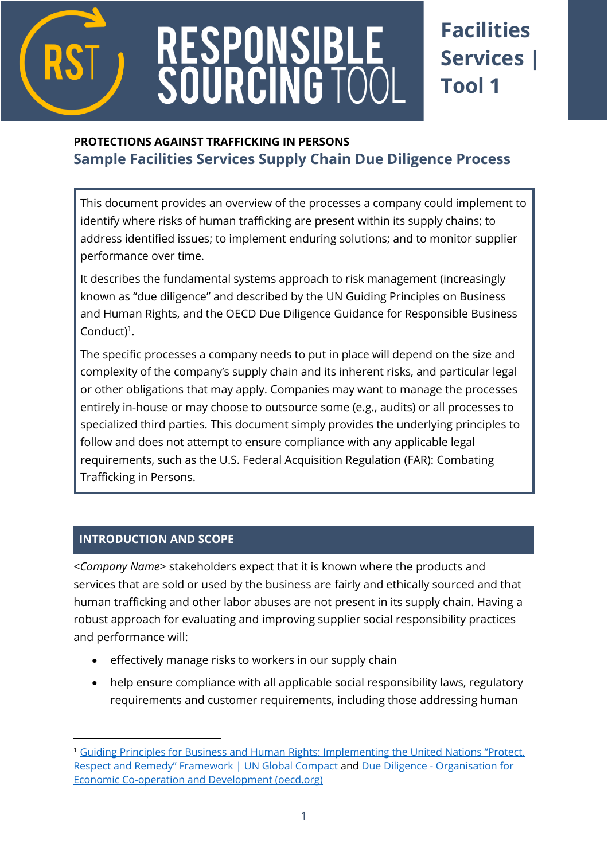

# RESPONSIBL<br>SOURCING TO

# **Facilities Services | Tool 1**

# **PROTECTIONS AGAINST TRAFFICKING IN PERSONS Sample Facilities Services Supply Chain Due Diligence Process**

This document provides an overview of the processes a company could implement to identify where risks of human trafficking are present within its supply chains; to address identified issues; to implement enduring solutions; and to monitor supplier performance over time.

It describes the fundamental systems approach to risk management (increasingly known as "due diligence" and described by the UN Guiding Principles on Business and Human Rights, and the OECD Due Diligence Guidance for Responsible Business Conduct)<sup>1</sup>.

The specific processes a company needs to put in place will depend on the size and complexity of the company's supply chain and its inherent risks, and particular legal or other obligations that may apply. Companies may want to manage the processes entirely in-house or may choose to outsource some (e.g., audits) or all processes to specialized third parties. This document simply provides the underlying principles to follow and does not attempt to ensure compliance with any applicable legal requirements, such as the U.S. Federal Acquisition Regulation (FAR): Combating Trafficking in Persons.

# **INTRODUCTION AND SCOPE**

<*Company Name*> stakeholders expect that it is known where the products and services that are sold or used by the business are fairly and ethically sourced and that human trafficking and other labor abuses are not present in its supply chain. Having a robust approach for evaluating and improving supplier social responsibility practices and performance will:

- effectively manage risks to workers in our supply chain
- help ensure compliance with all applicable social responsibility laws, regulatory requirements and customer requirements, including those addressing human

<sup>1</sup> Guiding Principles for Business and Human [Rights: Implementing the United Nations "Protect,](https://www.unglobalcompact.org/library/2)  [Respect and Remedy" Framework | UN Global Compact](https://www.unglobalcompact.org/library/2) and Due Diligence - [Organisation for](https://mneguidelines.oecd.org/duediligence/)  [Economic Co-operation and Development \(oecd.org\)](https://mneguidelines.oecd.org/duediligence/)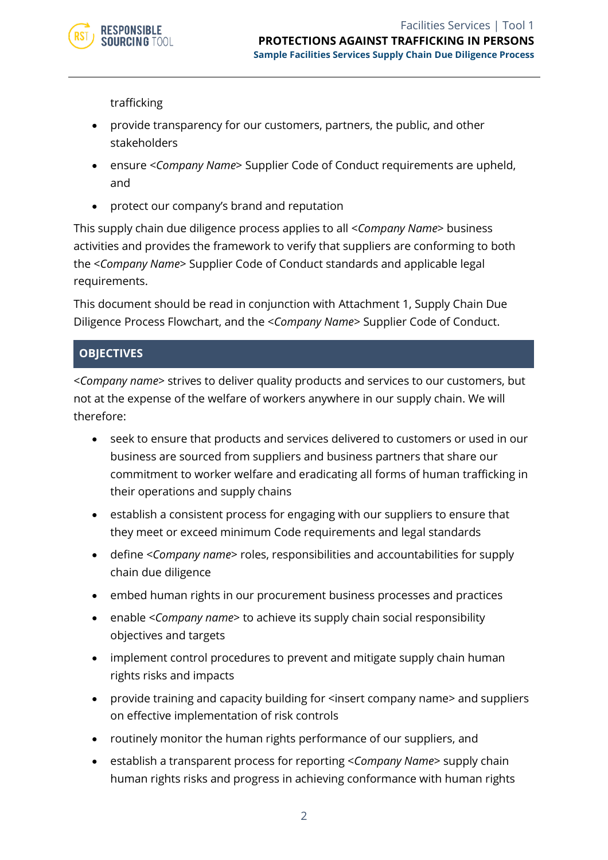

trafficking

- provide transparency for our customers, partners, the public, and other stakeholders
- ensure <*Company Name*> Supplier Code of Conduct requirements are upheld, and
- protect our company's brand and reputation

This supply chain due diligence process applies to all <*Company Name*> business activities and provides the framework to verify that suppliers are conforming to both the <*Company Name*> Supplier Code of Conduct standards and applicable legal requirements.

This document should be read in conjunction with Attachment 1, Supply Chain Due Diligence Process Flowchart, and the <*Company Name*> Supplier Code of Conduct.

# **OBJECTIVES**

<*Company name*> strives to deliver quality products and services to our customers, but not at the expense of the welfare of workers anywhere in our supply chain. We will therefore:

- seek to ensure that products and services delivered to customers or used in our business are sourced from suppliers and business partners that share our commitment to worker welfare and eradicating all forms of human trafficking in their operations and supply chains
- establish a consistent process for engaging with our suppliers to ensure that they meet or exceed minimum Code requirements and legal standards
- define <*Company name*> roles, responsibilities and accountabilities for supply chain due diligence
- embed human rights in our procurement business processes and practices
- enable <*Company name*> to achieve its supply chain social responsibility objectives and targets
- implement control procedures to prevent and mitigate supply chain human rights risks and impacts
- provide training and capacity building for <insert company name> and suppliers on effective implementation of risk controls
- routinely monitor the human rights performance of our suppliers, and
- establish a transparent process for reporting <*Company Name*> supply chain human rights risks and progress in achieving conformance with human rights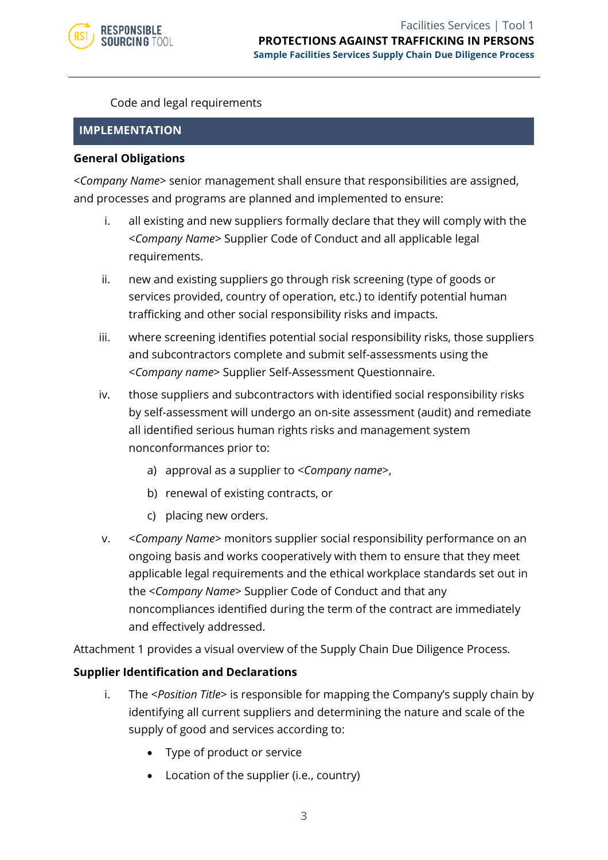

Code and legal requirements

#### **IMPLEMENTATION**

#### **General Obligations**

<*Company Name*> senior management shall ensure that responsibilities are assigned, and processes and programs are planned and implemented to ensure:

- i. all existing and new suppliers formally declare that they will comply with the <*Company Name*> Supplier Code of Conduct and all applicable legal requirements.
- ii. new and existing suppliers go through risk screening (type of goods or services provided, country of operation, etc.) to identify potential human trafficking and other social responsibility risks and impacts.
- iii. where screening identifies potential social responsibility risks, those suppliers and subcontractors complete and submit self-assessments using the <*Company name*> Supplier Self-Assessment Questionnaire.
- iv. those suppliers and subcontractors with identified social responsibility risks by self-assessment will undergo an on-site assessment (audit) and remediate all identified serious human rights risks and management system nonconformances prior to:
	- a) approval as a supplier to <*Company name*>,
	- b) renewal of existing contracts, or
	- c) placing new orders.
- v. <*Company Name*> monitors supplier social responsibility performance on an ongoing basis and works cooperatively with them to ensure that they meet applicable legal requirements and the ethical workplace standards set out in the <*Company Name*> Supplier Code of Conduct and that any noncompliances identified during the term of the contract are immediately and effectively addressed.

Attachment 1 provides a visual overview of the Supply Chain Due Diligence Process.

#### **Supplier Identification and Declarations**

- i. The <*Position Title*> is responsible for mapping the Company's supply chain by identifying all current suppliers and determining the nature and scale of the supply of good and services according to:
	- Type of product or service
	- Location of the supplier (i.e., country)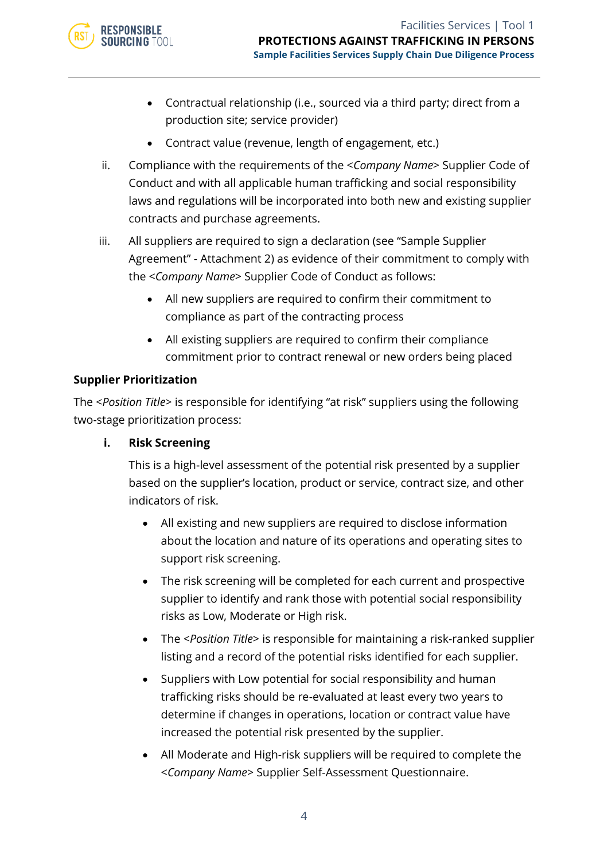

- Contractual relationship (i.e., sourced via a third party; direct from a production site; service provider)
- Contract value (revenue, length of engagement, etc.)
- ii. Compliance with the requirements of the <*Company Name*> Supplier Code of Conduct and with all applicable human trafficking and social responsibility laws and regulations will be incorporated into both new and existing supplier contracts and purchase agreements.
- iii. All suppliers are required to sign a declaration (see "Sample Supplier Agreement" - Attachment 2) as evidence of their commitment to comply with the <*Company Name*> Supplier Code of Conduct as follows:
	- All new suppliers are required to confirm their commitment to compliance as part of the contracting process
	- All existing suppliers are required to confirm their compliance commitment prior to contract renewal or new orders being placed

### **Supplier Prioritization**

The <*Position Title*> is responsible for identifying "at risk" suppliers using the following two-stage prioritization process:

#### **i. Risk Screening**

This is a high-level assessment of the potential risk presented by a supplier based on the supplier's location, product or service, contract size, and other indicators of risk.

- All existing and new suppliers are required to disclose information about the location and nature of its operations and operating sites to support risk screening.
- The risk screening will be completed for each current and prospective supplier to identify and rank those with potential social responsibility risks as Low, Moderate or High risk.
- The <*Position Title*> is responsible for maintaining a risk-ranked supplier listing and a record of the potential risks identified for each supplier.
- Suppliers with Low potential for social responsibility and human trafficking risks should be re-evaluated at least every two years to determine if changes in operations, location or contract value have increased the potential risk presented by the supplier.
- All Moderate and High-risk suppliers will be required to complete the <*Company Name*> Supplier Self-Assessment Questionnaire.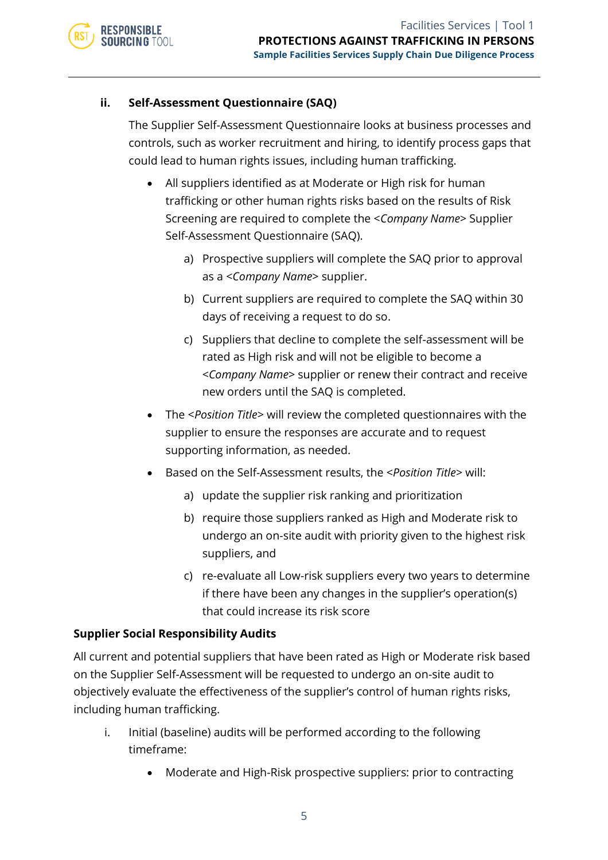#### **ii. Self-Assessment Questionnaire (SAQ)**

The Supplier Self-Assessment Questionnaire looks at business processes and controls, such as worker recruitment and hiring, to identify process gaps that could lead to human rights issues, including human trafficking.

- All suppliers identified as at Moderate or High risk for human trafficking or other human rights risks based on the results of Risk Screening are required to complete the <*Company Name*> Supplier Self-Assessment Questionnaire (SAQ).
	- a) Prospective suppliers will complete the SAQ prior to approval as a <*Company Name*> supplier.
	- b) Current suppliers are required to complete the SAQ within 30 days of receiving a request to do so.
	- c) Suppliers that decline to complete the self-assessment will be rated as High risk and will not be eligible to become a <*Company Name*> supplier or renew their contract and receive new orders until the SAQ is completed.
- The <*Position Title*> will review the completed questionnaires with the supplier to ensure the responses are accurate and to request supporting information, as needed.
- Based on the Self-Assessment results, the <*Position Title*> will:
	- a) update the supplier risk ranking and prioritization
	- b) require those suppliers ranked as High and Moderate risk to undergo an on-site audit with priority given to the highest risk suppliers, and
	- c) re-evaluate all Low-risk suppliers every two years to determine if there have been any changes in the supplier's operation(s) that could increase its risk score

#### **Supplier Social Responsibility Audits**

All current and potential suppliers that have been rated as High or Moderate risk based on the Supplier Self-Assessment will be requested to undergo an on-site audit to objectively evaluate the effectiveness of the supplier's control of human rights risks, including human trafficking.

- i. Initial (baseline) audits will be performed according to the following timeframe:
	- Moderate and High-Risk prospective suppliers: prior to contracting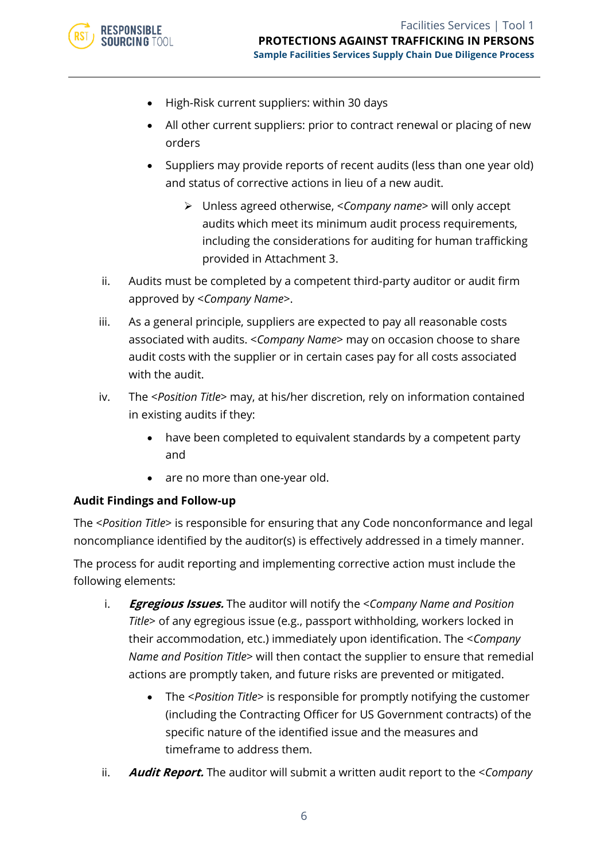

- High-Risk current suppliers: within 30 days
- All other current suppliers: prior to contract renewal or placing of new orders
- Suppliers may provide reports of recent audits (less than one year old) and status of corrective actions in lieu of a new audit.
	- ➢ Unless agreed otherwise, <*Company name*> will only accept audits which meet its minimum audit process requirements, including the considerations for auditing for human trafficking provided in Attachment 3.
- ii. Audits must be completed by a competent third-party auditor or audit firm approved by <*Company Name*>.
- iii. As a general principle, suppliers are expected to pay all reasonable costs associated with audits. <*Company Name*> may on occasion choose to share audit costs with the supplier or in certain cases pay for all costs associated with the audit.
- iv. The <*Position Title*> may, at his/her discretion, rely on information contained in existing audits if they:
	- have been completed to equivalent standards by a competent party and
	- are no more than one-year old.

#### **Audit Findings and Follow-up**

The <*Position Title*> is responsible for ensuring that any Code nonconformance and legal noncompliance identified by the auditor(s) is effectively addressed in a timely manner.

The process for audit reporting and implementing corrective action must include the following elements:

- i. **Egregious Issues.** The auditor will notify the <*Company Name and Position Title*> of any egregious issue (e.g., passport withholding, workers locked in their accommodation, etc.) immediately upon identification. The <*Company Name and Position Title*> will then contact the supplier to ensure that remedial actions are promptly taken, and future risks are prevented or mitigated.
	- The <*Position Title*> is responsible for promptly notifying the customer (including the Contracting Officer for US Government contracts) of the specific nature of the identified issue and the measures and timeframe to address them.
- ii. **Audit Report.** The auditor will submit a written audit report to the <*Company*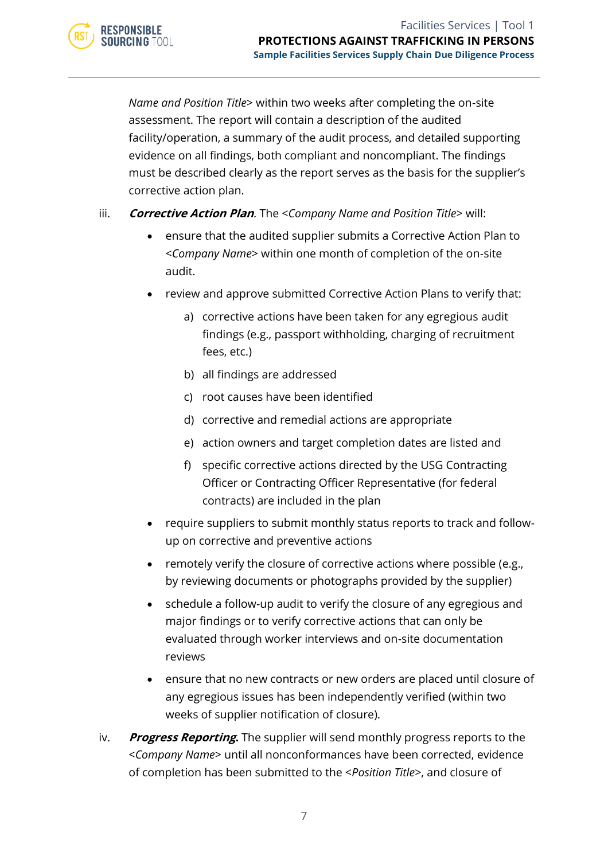*Name and Position Title*> within two weeks after completing the on-site assessment. The report will contain a description of the audited facility/operation, a summary of the audit process, and detailed supporting evidence on all findings, both compliant and noncompliant. The findings must be described clearly as the report serves as the basis for the supplier's corrective action plan.

- iii. **Corrective Action Plan**. The <*Company Name and Position Title*> will:
	- ensure that the audited supplier submits a Corrective Action Plan to <*Company Name*> within one month of completion of the on-site audit.
	- review and approve submitted Corrective Action Plans to verify that:
		- a) corrective actions have been taken for any egregious audit findings (e.g., passport withholding, charging of recruitment fees, etc.)
		- b) all findings are addressed

**RESPONSIBLE SOURCING TOOL** 

- c) root causes have been identified
- d) corrective and remedial actions are appropriate
- e) action owners and target completion dates are listed and
- f) specific corrective actions directed by the USG Contracting Officer or Contracting Officer Representative (for federal contracts) are included in the plan
- require suppliers to submit monthly status reports to track and followup on corrective and preventive actions
- remotely verify the closure of corrective actions where possible (e.g., by reviewing documents or photographs provided by the supplier)
- schedule a follow-up audit to verify the closure of any egregious and major findings or to verify corrective actions that can only be evaluated through worker interviews and on-site documentation reviews
- ensure that no new contracts or new orders are placed until closure of any egregious issues has been independently verified (within two weeks of supplier notification of closure).
- iv. **Progress Reporting.** The supplier will send monthly progress reports to the <*Company Name*> until all nonconformances have been corrected, evidence of completion has been submitted to the <*Position Title*>, and closure of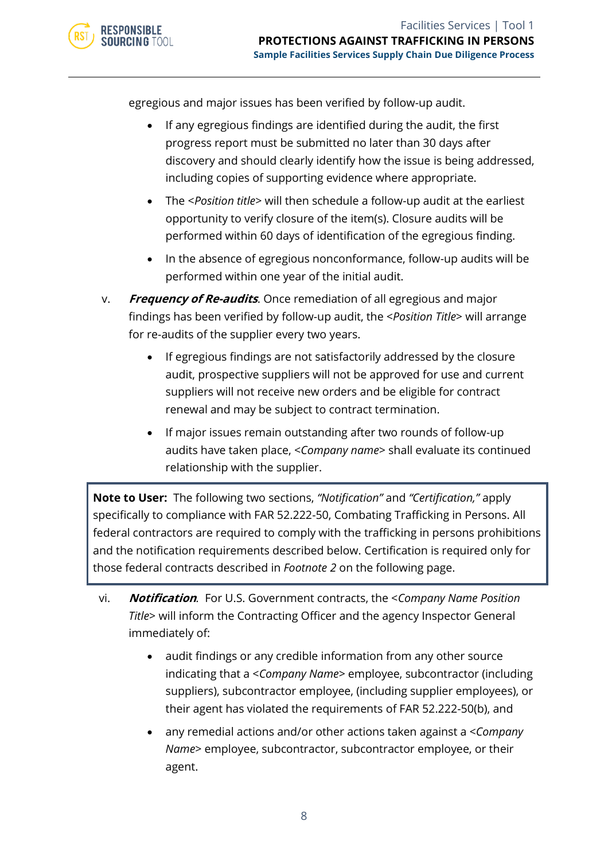egregious and major issues has been verified by follow-up audit.

- If any egregious findings are identified during the audit, the first progress report must be submitted no later than 30 days after discovery and should clearly identify how the issue is being addressed, including copies of supporting evidence where appropriate.
- The <*Position title*> will then schedule a follow-up audit at the earliest opportunity to verify closure of the item(s). Closure audits will be performed within 60 days of identification of the egregious finding.
- In the absence of egregious nonconformance, follow-up audits will be performed within one year of the initial audit.
- v. **Frequency of Re-audits**. Once remediation of all egregious and major findings has been verified by follow-up audit, the <*Position Title*> will arrange for re-audits of the supplier every two years.
	- If egregious findings are not satisfactorily addressed by the closure audit, prospective suppliers will not be approved for use and current suppliers will not receive new orders and be eligible for contract renewal and may be subject to contract termination.
	- If major issues remain outstanding after two rounds of follow-up audits have taken place, <*Company name*> shall evaluate its continued relationship with the supplier.

**Note to User:** The following two sections, *"Notification"* and *"Certification,"* apply specifically to compliance with FAR 52.222-50, Combating Trafficking in Persons. All federal contractors are required to comply with the trafficking in persons prohibitions and the notification requirements described below. Certification is required only for those federal contracts described in *Footnote 2* on the following page.

- vi. **Notification***.* For U.S. Government contracts, the <*Company Name Position Title*> will inform the Contracting Officer and the agency Inspector General immediately of:
	- audit findings or any credible information from any other source indicating that a <*Company Name*> employee, subcontractor (including suppliers), subcontractor employee, (including supplier employees), or their agent has violated the requirements of FAR 52.222-50(b), and
	- any remedial actions and/or other actions taken against a <*Company Name*> employee, subcontractor, subcontractor employee, or their agent.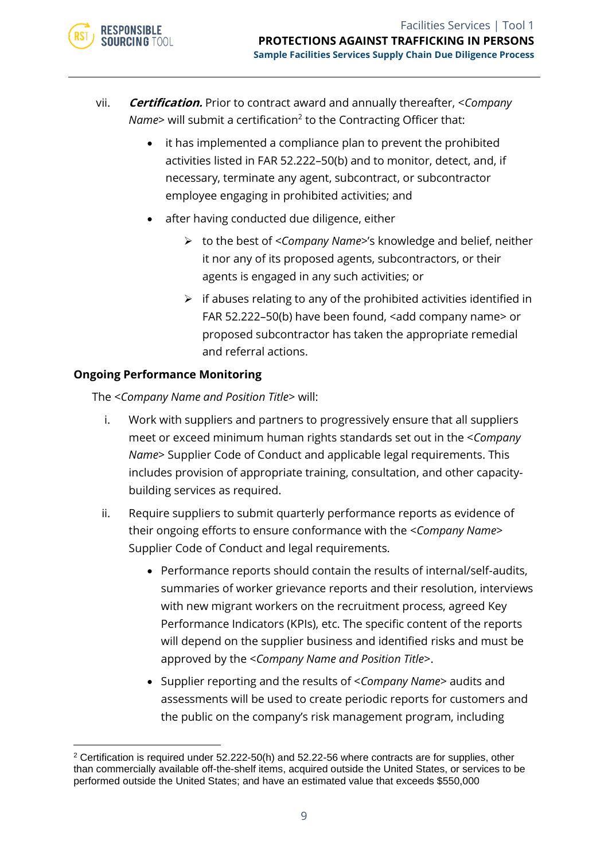

- vii. **Certification.** Prior to contract award and annually thereafter, <*Company Name>* will submit a certification<sup>2</sup> to the Contracting Officer that:
	- it has implemented a compliance plan to prevent the prohibited activities listed in FAR 52.222–50(b) and to monitor, detect, and, if necessary, terminate any agent, subcontract, or subcontractor employee engaging in prohibited activities; and
	- after having conducted due diligence, either
		- ➢ to the best of <*Company Name*>'s knowledge and belief, neither it nor any of its proposed agents, subcontractors, or their agents is engaged in any such activities; or
		- $\triangleright$  if abuses relating to any of the prohibited activities identified in FAR 52.222–50(b) have been found, <add company name> or proposed subcontractor has taken the appropriate remedial and referral actions.

# **Ongoing Performance Monitoring**

The <*Company Name and Position Title*> will:

- i. Work with suppliers and partners to progressively ensure that all suppliers meet or exceed minimum human rights standards set out in the <*Company Name*> Supplier Code of Conduct and applicable legal requirements. This includes provision of appropriate training, consultation, and other capacitybuilding services as required.
- ii. Require suppliers to submit quarterly performance reports as evidence of their ongoing efforts to ensure conformance with the <*Company Name*> Supplier Code of Conduct and legal requirements.
	- Performance reports should contain the results of internal/self-audits, summaries of worker grievance reports and their resolution, interviews with new migrant workers on the recruitment process, agreed Key Performance Indicators (KPIs), etc. The specific content of the reports will depend on the supplier business and identified risks and must be approved by the <*Company Name and Position Title*>.
	- Supplier reporting and the results of <*Company Name*> audits and assessments will be used to create periodic reports for customers and the public on the company's risk management program, including

 $2$  Certification is required under 52.222-50(h) and 52.22-56 where contracts are for supplies, other than commercially available off-the-shelf items, acquired outside the United States, or services to be performed outside the United States; and have an estimated value that exceeds \$550,000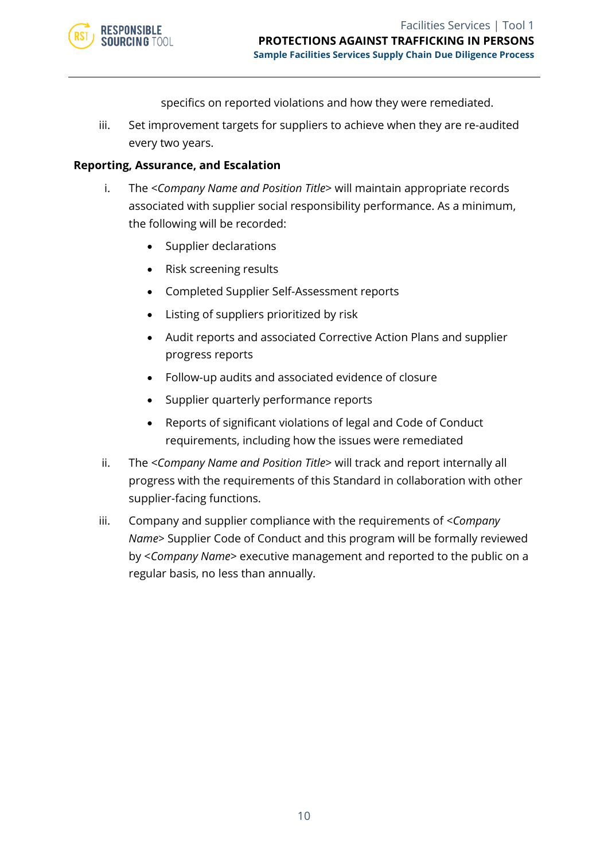

specifics on reported violations and how they were remediated.

iii. Set improvement targets for suppliers to achieve when they are re-audited every two years.

#### **Reporting, Assurance, and Escalation**

- i. The <*Company Name and Position Title*> will maintain appropriate records associated with supplier social responsibility performance. As a minimum, the following will be recorded:
	- Supplier declarations
	- Risk screening results
	- Completed Supplier Self-Assessment reports
	- Listing of suppliers prioritized by risk
	- Audit reports and associated Corrective Action Plans and supplier progress reports
	- Follow-up audits and associated evidence of closure
	- Supplier quarterly performance reports
	- Reports of significant violations of legal and Code of Conduct requirements, including how the issues were remediated
- ii. The <*Company Name and Position Title*> will track and report internally all progress with the requirements of this Standard in collaboration with other supplier-facing functions.
- iii. Company and supplier compliance with the requirements of *<Company Name>* Supplier Code of Conduct and this program will be formally reviewed by <*Company Name*> executive management and reported to the public on a regular basis, no less than annually.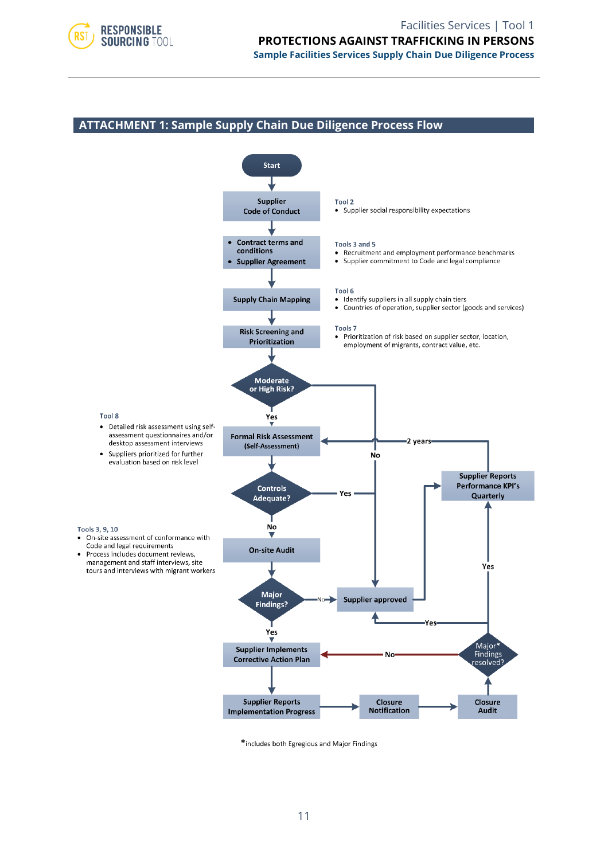

#### **ATTACHMENT 1: Sample Supply Chain Due Diligence Process Flow**



\*includes both Egregious and Major Findings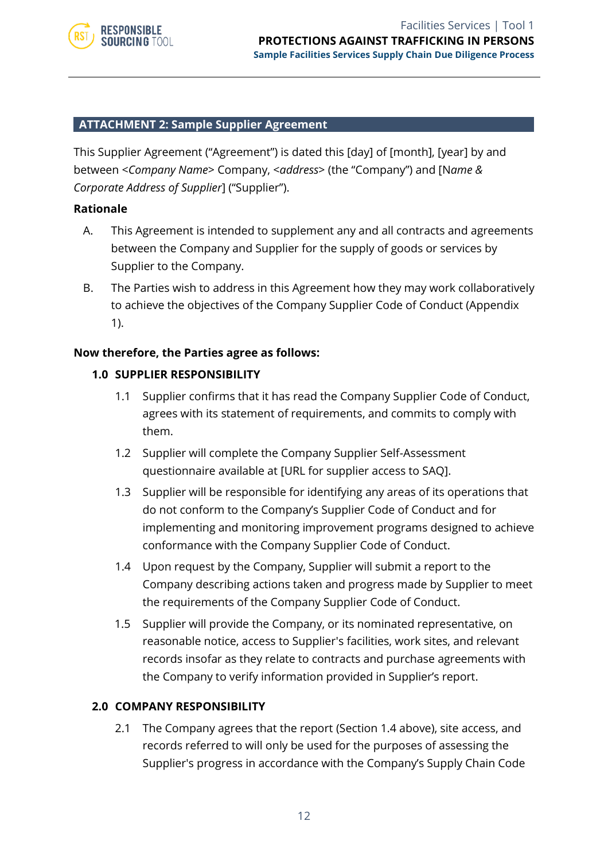

#### **ATTACHMENT 2: Sample Supplier Agreement**

This Supplier Agreement ("Agreement") is dated this [day] of [month], [year] by and between <*Company Name*> Company, <*address*> (the "Company") and [N*ame & Corporate Address of Supplier*] ("Supplier").

#### **Rationale**

- A. This Agreement is intended to supplement any and all contracts and agreements between the Company and Supplier for the supply of goods or services by Supplier to the Company.
- B. The Parties wish to address in this Agreement how they may work collaboratively to achieve the objectives of the Company Supplier Code of Conduct (Appendix 1).

#### **Now therefore, the Parties agree as follows:**

#### **1.0 SUPPLIER RESPONSIBILITY**

- 1.1 Supplier confirms that it has read the Company Supplier Code of Conduct, agrees with its statement of requirements, and commits to comply with them.
- 1.2 Supplier will complete the Company Supplier Self-Assessment questionnaire available at [URL for supplier access to SAQ].
- 1.3 Supplier will be responsible for identifying any areas of its operations that do not conform to the Company's Supplier Code of Conduct and for implementing and monitoring improvement programs designed to achieve conformance with the Company Supplier Code of Conduct.
- 1.4 Upon request by the Company, Supplier will submit a report to the Company describing actions taken and progress made by Supplier to meet the requirements of the Company Supplier Code of Conduct.
- 1.5 Supplier will provide the Company, or its nominated representative, on reasonable notice, access to Supplier's facilities, work sites, and relevant records insofar as they relate to contracts and purchase agreements with the Company to verify information provided in Supplier's report.

#### **2.0 COMPANY RESPONSIBILITY**

2.1 The Company agrees that the report (Section 1.4 above), site access, and records referred to will only be used for the purposes of assessing the Supplier's progress in accordance with the Company's Supply Chain Code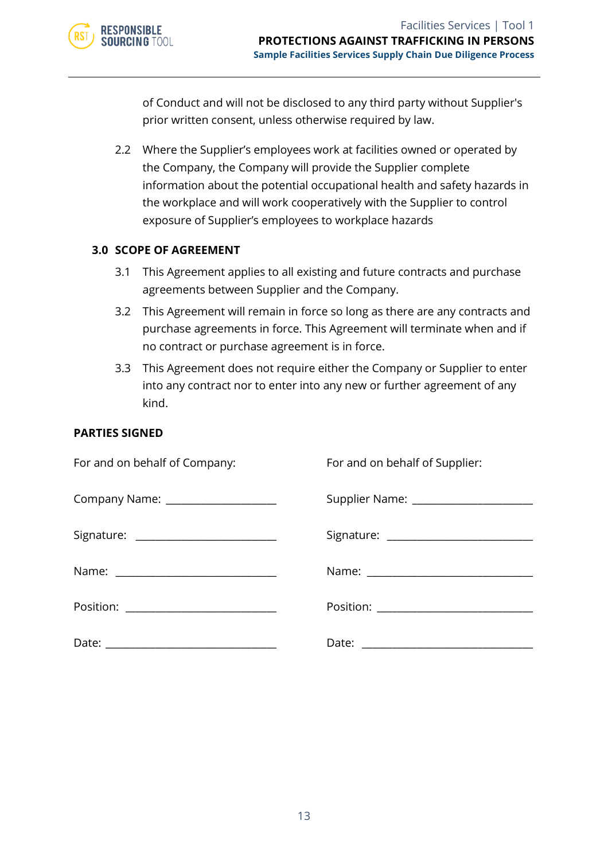

of Conduct and will not be disclosed to any third party without Supplier's prior written consent, unless otherwise required by law.

2.2 Where the Supplier's employees work at facilities owned or operated by the Company, the Company will provide the Supplier complete information about the potential occupational health and safety hazards in the workplace and will work cooperatively with the Supplier to control exposure of Supplier's employees to workplace hazards

#### **3.0 SCOPE OF AGREEMENT**

- 3.1 This Agreement applies to all existing and future contracts and purchase agreements between Supplier and the Company.
- 3.2 This Agreement will remain in force so long as there are any contracts and purchase agreements in force. This Agreement will terminate when and if no contract or purchase agreement is in force.
- 3.3 This Agreement does not require either the Company or Supplier to enter into any contract nor to enter into any new or further agreement of any kind.

#### **PARTIES SIGNED**

| For and on behalf of Company:           | For and on behalf of Supplier:          |
|-----------------------------------------|-----------------------------------------|
| Company Name: _____________________     | Supplier Name: ________________________ |
| Signature: ____________________________ |                                         |
|                                         |                                         |
| Position: ____________________________  |                                         |
|                                         |                                         |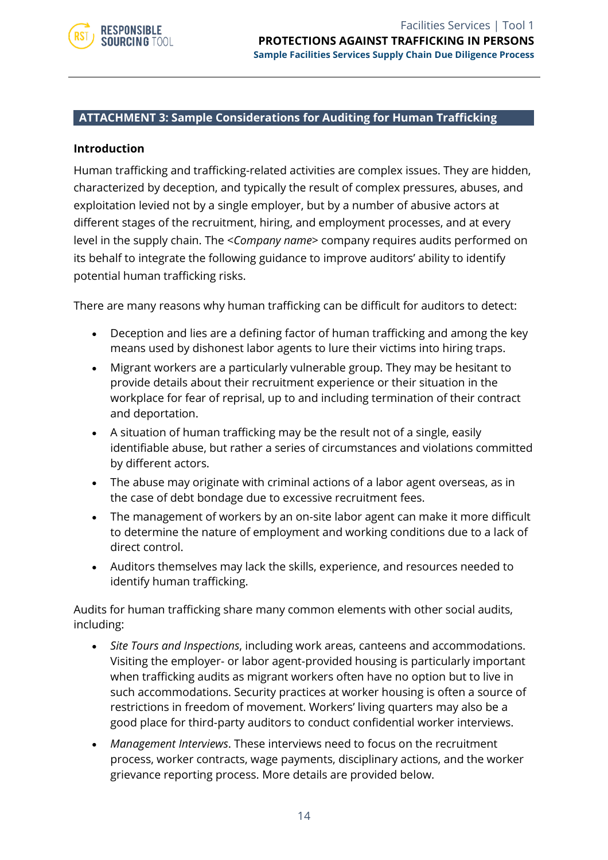

#### **ATTACHMENT 3: Sample Considerations for Auditing for Human Trafficking**

#### **Introduction**

Human trafficking and trafficking-related activities are complex issues. They are hidden, characterized by deception, and typically the result of complex pressures, abuses, and exploitation levied not by a single employer, but by a number of abusive actors at different stages of the recruitment, hiring, and employment processes, and at every level in the supply chain. The <*Company name*> company requires audits performed on its behalf to integrate the following guidance to improve auditors' ability to identify potential human trafficking risks.

There are many reasons why human trafficking can be difficult for auditors to detect:

- Deception and lies are a defining factor of human trafficking and among the key means used by dishonest labor agents to lure their victims into hiring traps.
- Migrant workers are a particularly vulnerable group. They may be hesitant to provide details about their recruitment experience or their situation in the workplace for fear of reprisal, up to and including termination of their contract and deportation.
- A situation of human trafficking may be the result not of a single, easily identifiable abuse, but rather a series of circumstances and violations committed by different actors.
- The abuse may originate with criminal actions of a labor agent overseas, as in the case of debt bondage due to excessive recruitment fees.
- The management of workers by an on-site labor agent can make it more difficult to determine the nature of employment and working conditions due to a lack of direct control.
- Auditors themselves may lack the skills, experience, and resources needed to identify human trafficking.

Audits for human trafficking share many common elements with other social audits, including:

- *Site Tours and Inspections*, including work areas, canteens and accommodations. Visiting the employer- or labor agent-provided housing is particularly important when trafficking audits as migrant workers often have no option but to live in such accommodations. Security practices at worker housing is often a source of restrictions in freedom of movement. Workers' living quarters may also be a good place for third-party auditors to conduct confidential worker interviews.
- *Management Interviews*. These interviews need to focus on the recruitment process, worker contracts, wage payments, disciplinary actions, and the worker grievance reporting process. More details are provided below.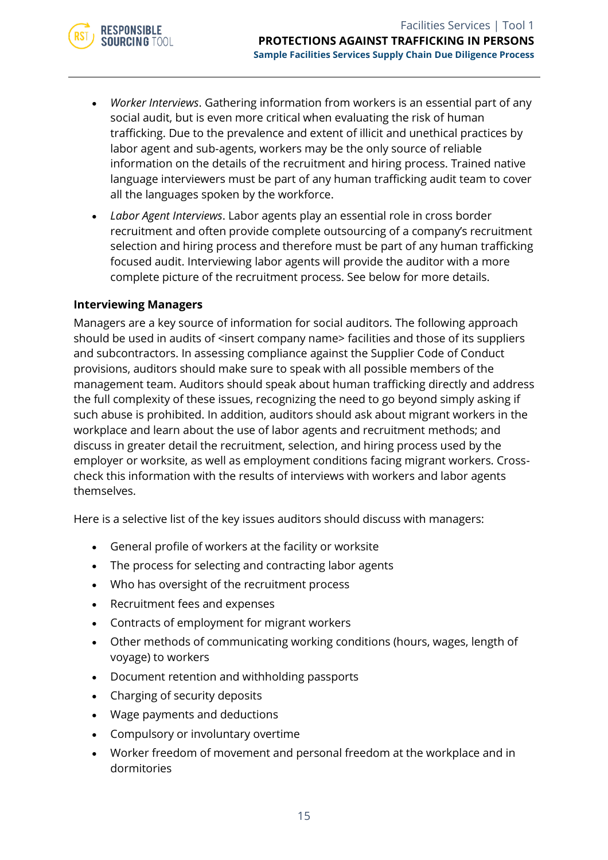

- *Worker Interviews*. Gathering information from workers is an essential part of any social audit, but is even more critical when evaluating the risk of human trafficking. Due to the prevalence and extent of illicit and unethical practices by labor agent and sub-agents, workers may be the only source of reliable information on the details of the recruitment and hiring process. Trained native language interviewers must be part of any human trafficking audit team to cover all the languages spoken by the workforce.
- *Labor Agent Interviews*. Labor agents play an essential role in cross border recruitment and often provide complete outsourcing of a company's recruitment selection and hiring process and therefore must be part of any human trafficking focused audit. Interviewing labor agents will provide the auditor with a more complete picture of the recruitment process. See below for more details.

#### **Interviewing Managers**

Managers are a key source of information for social auditors. The following approach should be used in audits of <insert company name> facilities and those of its suppliers and subcontractors. In assessing compliance against the Supplier Code of Conduct provisions, auditors should make sure to speak with all possible members of the management team. Auditors should speak about human trafficking directly and address the full complexity of these issues, recognizing the need to go beyond simply asking if such abuse is prohibited. In addition, auditors should ask about migrant workers in the workplace and learn about the use of labor agents and recruitment methods; and discuss in greater detail the recruitment, selection, and hiring process used by the employer or worksite, as well as employment conditions facing migrant workers. Crosscheck this information with the results of interviews with workers and labor agents themselves.

Here is a selective list of the key issues auditors should discuss with managers:

- General profile of workers at the facility or worksite
- The process for selecting and contracting labor agents
- Who has oversight of the recruitment process
- Recruitment fees and expenses
- Contracts of employment for migrant workers
- Other methods of communicating working conditions (hours, wages, length of voyage) to workers
- Document retention and withholding passports
- Charging of security deposits
- Wage payments and deductions
- Compulsory or involuntary overtime
- Worker freedom of movement and personal freedom at the workplace and in dormitories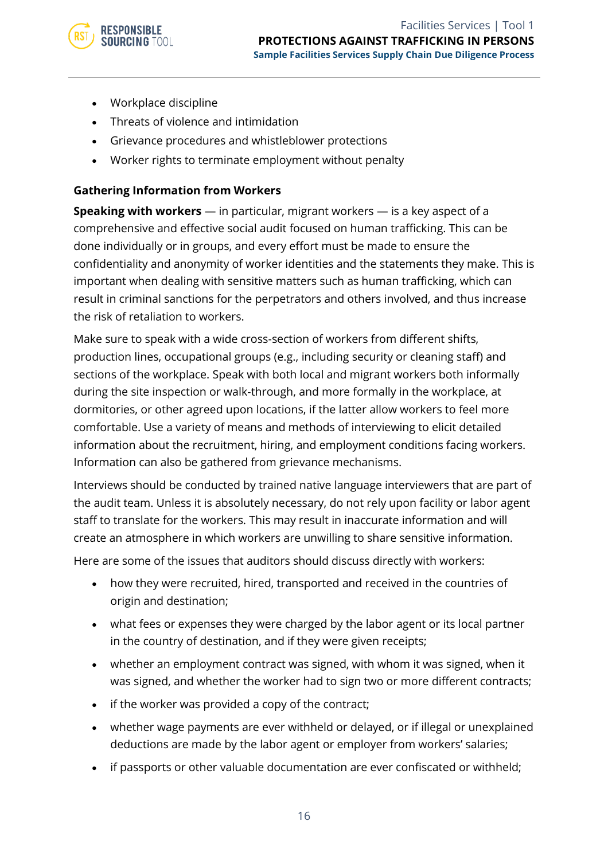• Workplace discipline

**RESPONSIBLE SOURCING TOOL** 

- Threats of violence and intimidation
- Grievance procedures and whistleblower protections
- Worker rights to terminate employment without penalty

#### **Gathering Information from Workers**

**Speaking with workers** — in particular, migrant workers — is a key aspect of a comprehensive and effective social audit focused on human trafficking. This can be done individually or in groups, and every effort must be made to ensure the confidentiality and anonymity of worker identities and the statements they make. This is important when dealing with sensitive matters such as human trafficking, which can result in criminal sanctions for the perpetrators and others involved, and thus increase the risk of retaliation to workers.

Make sure to speak with a wide cross-section of workers from different shifts, production lines, occupational groups (e.g., including security or cleaning staff) and sections of the workplace. Speak with both local and migrant workers both informally during the site inspection or walk-through, and more formally in the workplace, at dormitories, or other agreed upon locations, if the latter allow workers to feel more comfortable. Use a variety of means and methods of interviewing to elicit detailed information about the recruitment, hiring, and employment conditions facing workers. Information can also be gathered from grievance mechanisms.

Interviews should be conducted by trained native language interviewers that are part of the audit team. Unless it is absolutely necessary, do not rely upon facility or labor agent staff to translate for the workers. This may result in inaccurate information and will create an atmosphere in which workers are unwilling to share sensitive information.

Here are some of the issues that auditors should discuss directly with workers:

- how they were recruited, hired, transported and received in the countries of origin and destination;
- what fees or expenses they were charged by the labor agent or its local partner in the country of destination, and if they were given receipts;
- whether an employment contract was signed, with whom it was signed, when it was signed, and whether the worker had to sign two or more different contracts;
- if the worker was provided a copy of the contract;
- whether wage payments are ever withheld or delayed, or if illegal or unexplained deductions are made by the labor agent or employer from workers' salaries;
- if passports or other valuable documentation are ever confiscated or withheld;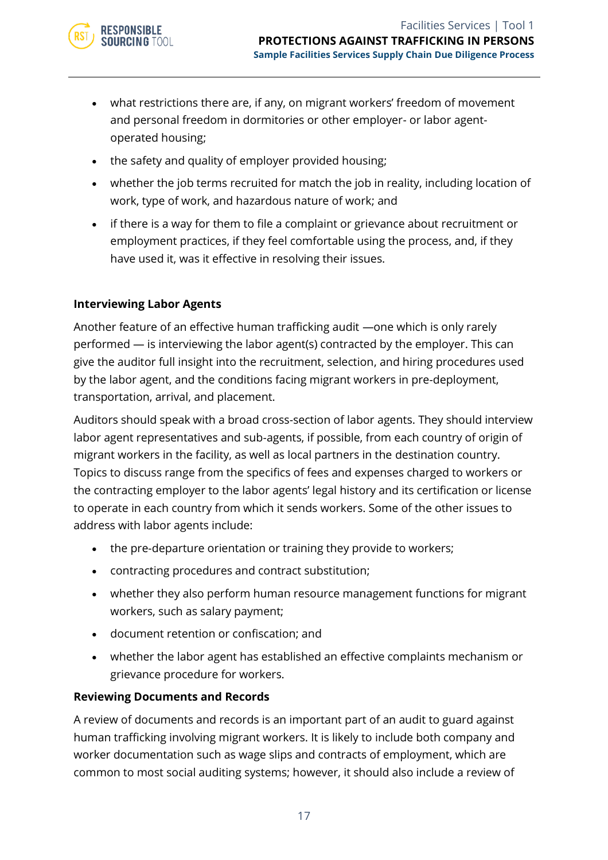

- what restrictions there are, if any, on migrant workers' freedom of movement and personal freedom in dormitories or other employer- or labor agentoperated housing;
- the safety and quality of employer provided housing;
- whether the job terms recruited for match the job in reality, including location of work, type of work, and hazardous nature of work; and
- if there is a way for them to file a complaint or grievance about recruitment or employment practices, if they feel comfortable using the process, and, if they have used it, was it effective in resolving their issues.

#### **Interviewing Labor Agents**

Another feature of an effective human trafficking audit —one which is only rarely performed — is interviewing the labor agent(s) contracted by the employer. This can give the auditor full insight into the recruitment, selection, and hiring procedures used by the labor agent, and the conditions facing migrant workers in pre-deployment, transportation, arrival, and placement.

Auditors should speak with a broad cross-section of labor agents. They should interview labor agent representatives and sub-agents, if possible, from each country of origin of migrant workers in the facility, as well as local partners in the destination country. Topics to discuss range from the specifics of fees and expenses charged to workers or the contracting employer to the labor agents' legal history and its certification or license to operate in each country from which it sends workers. Some of the other issues to address with labor agents include:

- the pre-departure orientation or training they provide to workers;
- contracting procedures and contract substitution;
- whether they also perform human resource management functions for migrant workers, such as salary payment;
- document retention or confiscation; and
- whether the labor agent has established an effective complaints mechanism or grievance procedure for workers.

#### **Reviewing Documents and Records**

A review of documents and records is an important part of an audit to guard against human trafficking involving migrant workers. It is likely to include both company and worker documentation such as wage slips and contracts of employment, which are common to most social auditing systems; however, it should also include a review of